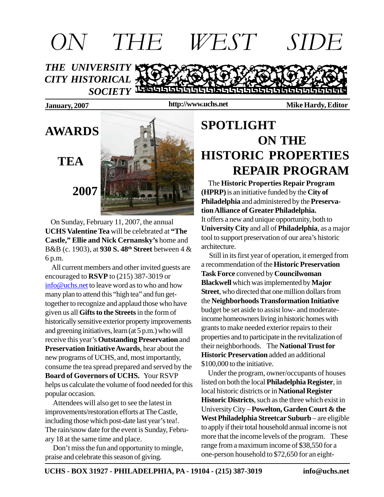

**http://www.uchs.net**

**January, 2007 Mike Hardy, Editor**



 On Sunday, February 11, 2007, the annual **UCHS Valentine Tea** will be celebrated at **"The Castle," Ellie and Nick Cernansky's** home and B&B (c. 1903), at **930 S. 48th Street** between 4 & 6 p.m.

 All current members and other invited guests are encouraged to **RSVP** to (215) 387-3019 or info@uchs.net to leave word as to who and how many plan to attend this "high tea" and fun gettogether to recognize and applaud those who have given us all **Gifts to the Streets** in the form of historically sensitive exterior property improvements and greening initiatives, learn (at 5 p.m.) who will receive this year's **Outstanding Preservation** and **Preservation Initiative Awards**, hear about the new programs of UCHS, and, most importantly, consume the tea spread prepared and served by the **Board of Governors of UCHS.** Your RSVP helps us calculate the volume of food needed for this popular occasion.

 Attendees will also get to see the latest in improvements/restoration efforts at The Castle, including those which post-date last year's tea!. The rain/snow date for the event is Sunday, February 18 at the same time and place.

 Don't miss the fun and opportunity to mingle, praise and celebrate this season of giving.

### **SPOTLIGHT ON THE HISTORIC PROPERTIES REPAIR PROGRAM**

 The **Historic Properties Repair Program (HPRP)** is an initiative funded by the **City of Philadelphia** and administered by the **Preservation Alliance of Greater Philadelphia.** It offers a new and unique opportunity, both to **University City** and all of **Philadelphia**, as a major tool to support preservation of our area's historic architecture.

 Still in its first year of operation, it emerged from a recommendation of the **Historic Preservation Task Force** convened by **Councilwoman Blackwell** which was implemented by **Major Street**, who directed that one million dollars from the **Neighborhoods Transformation Initiative** budget be set aside to assist low- and moderateincome homeowners living in historic homes with grants to make needed exterior repairs to their properties and to participate in the revitalization of their neighborhoods. The **National Trust for Historic Preservation** added an additional \$100,000 to the initiative.

 Under the program, owner/occupants of houses listed on both the local **Philadelphia Register**, in local historic districts or in **National Register Historic Districts**, such as the three which exist in University City – **Powelton, Garden Court & the West Philadelphia Streetcar Suburb** – are eligible to apply if their total household annual income is not more that the income levels of the program. These range from a maximum income of \$38,550 for a one-person household to \$72,650 for an eight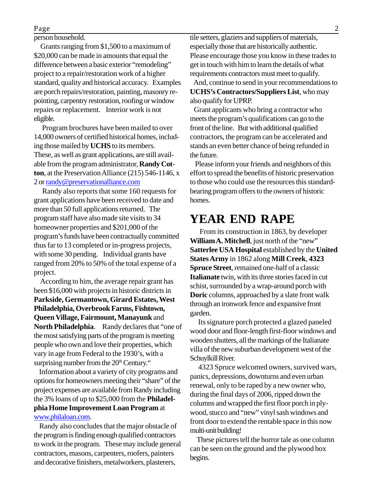person household.

 Grants ranging from \$1,500 to a maximum of \$20,000 can be made in amounts that equal the difference between a basic exterior "remodeling" project to a repair/restoration work of a higher standard, quality and historical accuracy. Examples are porch repairs/restoration, painting, masonry repointing, carpentry restoration, roofing or window repairs or replacement. Interior work is not eligible.

 Program brochures have been mailed to over 14,000 owners of certified historical homes, including those mailed by **UCHS** to its members. These, as well as grant applications, are still available from the program administrator, **Randy Cotton**, at the Preservation Alliance (215) 546-1146, x 2 or randy@preservationalliance.com

 Randy also reports that some 160 requests for grant applications have been received to date and more than 50 full applications returned. The program staff have also made site visits to 34 homeowner properties and \$201,000 of the program's funds have been contractually committed thus far to 13 completed or in-progress projects, with some 30 pending. Individual grants have ranged from 20% to 50% of the total expense of a project.

 According to him, the average repair grant has been \$16,000 with projects in historic districts in **Parkside, Germantown, Girard Estates, West Philadelphia, Overbrook Farms, Fishtown, Queen Village, Fairmount, Manayunk** and **North Philadelphia**. Randy declares that "one of the most satisfying parts of the program is meeting people who own and love their properties, which vary in age from Federal to the 1930's, with a surprising number from the  $20<sup>th</sup>$  Century."

 Information about a variety of city programs and options for homeowners meeting their "share" of the project expenses are available from Randy including the 3% loans of up to \$25,000 from the **Philadelphia Home Improvement Loan Program** at www.philaloan.com.

 Randy also concludes that the major obstacle of the program is finding enough qualified contractors to work in the program. These may include general contractors, masons, carpenters, roofers, painters and decorative finishers, metalworkers, plasterers,

tile setters, glaziers and suppliers of materials, especially those that are historically authentic. Please encourage those you know in these trades to get in touch with him to learn the details of what requirements contractors must meet to qualify.

 And, continue to send in your recommendations to **UCHS's Contractors/Suppliers List**, who may also qualify for UPRP.

 Grant applicants who bring a contractor who meets the program's qualifications can go to the front of the line. But with additional qualified contractors, the program can be accelerated and stands an even better chance of being refunded in the future.

 Please inform your friends and neighbors of this effort to spread the benefits of historic preservation to those who could use the resources this standardbearing program offers to the owners of historic homes.

#### **YEAR END RAPE**

 From its construction in 1863, by developer **William A. Mitchell**, just north of the "new" **Satterlee USA Hospital** established by the **United States Army** in 1862 along **Mill Creek**, **4323 Spruce Street**, remained one-half of a classic **Italianate** twin, with its three stories faced in cut schist, surrounded by a wrap-around porch with **Doric** columns, approached by a slate front walk through an ironwork fence and expansive front garden.

 Its signature porch protected a glazed paneled wood door and floor-length first-floor windows and wooden shutters, all the markings of the Italianate villa of the new suburban development west of the Schuylkill River.

 4323 Spruce welcomed owners, survived wars, panics, depressions, downturns and even urban renewal, only to be raped by a new owner who, during the final days of 2006, ripped down the columns and wrapped the first floor porch in plywood, stucco and "new" vinyl sash windows and front door to extend the rentable space in this now multi-unit building!

 These pictures tell the horror tale as one column can be seen on the ground and the plywood box begins.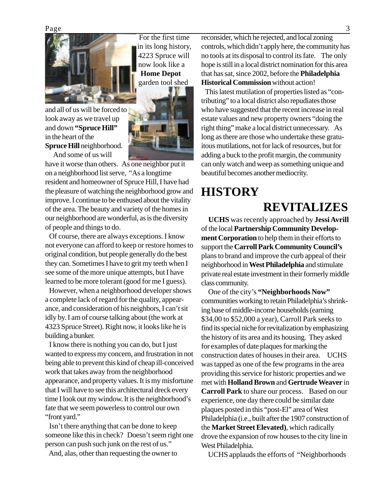Page 3



For the first time in its long history, 4223 Spruce will now look like a  **Home Depot** garden tool shed

and all of us will be forced to look away as we travel up and down **"Spruce Hill"** in the heart of the **Spruce Hill** neighborhood. And some of us will

have it worse than others. As one neighbor put it on a neighborhood list serve, "As a longtime resident and homeowner of Spruce Hill, I have had the pleasure of watching the neighborhood grow and improve. I continue to be enthused about the vitality of the area. The beauty and variety of the homes in our neighborhood are wonderful, as is the diversity of people and things to do.

 Of course, there are always exceptions. I know not everyone can afford to keep or restore homes to original condition, but people generally do the best they can. Sometimes I have to grit my teeth when I see some of the more unique attempts, but I have learned to be more tolerant (good for me I guess).

 However, when a neighborhood developer shows a complete lack of regard for the quality, appearance, and consideration of his neighbors, I can't sit idly by. I am of course talking about (the work at 4323 Spruce Street). Right now, it looks like he is building a bunker.

 I know there is nothing you can do, but I just wanted to express my concern, and frustration in not being able to prevent this kind of cheap ill-conceived work that takes away from the neighborhood appearance, and property values. It is my misfortune that I will have to see this architectural dreck every time I look out my window. It is the neighborhood's fate that we seem powerless to control our own "front yard."

 Isn't there anything that can be done to keep someone like this in check? Doesn't seem right one person can push such junk on the rest of us."

And, alas, other than requesting the owner to

reconsider, which he rejected, and local zoning controls, which didn't apply here, the community has no tools at its disposal to control its fate. The only hope is still in a local district nomination for this area that has sat, since 2002, before the **Philadelphia Historical Commission** without action!

 This latest mutilation of properties listed as "contributing" to a local district also repudiates those who have suggested that the recent increase in real estate values and new property owners "doing the right thing" make a local district unnecessary. As long as there are those who undertake these gratuitous mutilations, not for lack of resources, but for adding a buck to the profit margin, the community can only watch and weep as something unique and beautiful becomes another mediocrity.

#### **HISTORY REVITALIZES**

 **UCHS** was recently approached by **Jessi Avrill** of the local **Partnership Community Development Corporation** to help them in their efforts to support the **Carroll Park Community Council's** plans to brand and improve the curb appeal of their neighborhood in **West Philadelphia** and stimulate private real estate investment in their formerly middle class community.

 One of the city's **"Neighborhoods Now"** communities working to retain Philadelphia's shrinking base of middle-income households (earning \$34,00 to \$52,000 a year), Carroll Park seeks to find its special niche for revitalization by emphasizing the history of its area and its housing. They asked for examples of date plaques for marking the construction dates of houses in their area. UCHS was tapped as one of the few programs in the area providing this service for historic properties and we met with **Holland Brown** and **Gertrude Weaver** in **Carroll Park** to share our process. Based on our experience, one day there could be similar date plaques posted in this "post-El" area of West Philadelphia (i.e., built after the 1907 construction of the **Market Street Elevated)**, which radically drove the expansion of row houses to the city line in West Philadelphia.

UCHS applauds the efforts of "Neighborhoods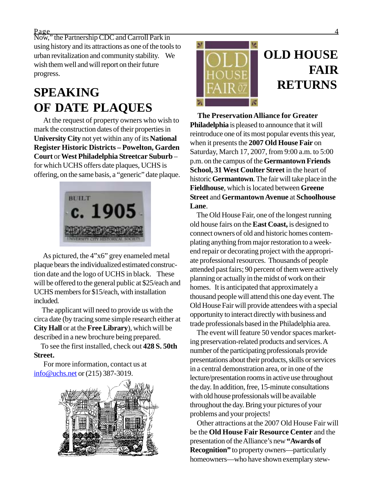$Page$   $\qquad \qquad 4$ 

Now," the Partnership CDC and Carroll Park in using history and its attractions as one of the tools to urban revitalization and community stability. We wish them well and will report on their future progress.

### **SPEAKING OF DATE PLAQUES**

 At the request of property owners who wish to mark the construction dates of their properties in **University City** not yet within any of its **National Register Historic Districts – Powelton, Garden Court** or **West Philadelphia Streetcar Suburb** – for which UCHS offers date plaques, UCHS is offering, on the same basis, a "generic" date plaque.



 As pictured, the 4"x6" grey enameled metal plaque bears the individualized estimated construction date and the logo of UCHS in black. These will be offered to the general public at \$25/each and UCHS members for \$15/each, with installation included.

 The applicant will need to provide us with the circa date (by tracing some simple research either at **City Hall** or at the **Free Library**), which will be described in a new brochure being prepared.

 To see the first installed, check out **428 S. 50th Street.**

 For more information, contact us at info@uchs.net or (215) 387-3019.





 **The Preservation Alliance for Greater Philadelphia** is pleased to announce that it will reintroduce one of its most popular events this year, when it presents the **2007 Old House Fair** on Saturday, March 17, 2007, from 9:00 a.m. to 5:00 p.m. on the campus of the **Germantown Friends School, 31 West Coulter Street** in the heart of historic **Germantown**. The fair will take place in the **Fieldhouse**, which is located between **Greene Street** and **Germantown Avenue** at **Schoolhouse Lane**.

 The Old House Fair, one of the longest running old house fairs on the **East Coast,** is designed to connect owners of old and historic homes contemplating anything from major restoration to a weekend repair or decorating project with the appropriate professional resources. Thousands of people attended past fairs; 90 percent of them were actively planning or actually in the midst of work on their homes. It is anticipated that approximately a thousand people will attend this one day event. The Old House Fair will provide attendees with a special opportunity to interact directly with business and trade professionals based in the Philadelphia area.

 The event will feature 50 vendor spaces marketing preservation-related products and services. A number of the participating professionals provide presentations about their products, skills or services in a central demonstration area, or in one of the lecture/presentation rooms in active use throughout the day. In addition, free, 15-minute consultations with old house professionals will be available throughout the day. Bring your pictures of your problems and your projects!

 Other attractions at the 2007 Old House Fair will be the **Old House Fair Resource Center** and the presentation of the Alliance's new **"Awards of Recognition"** to property owners—particularly homeowners—who have shown exemplary stew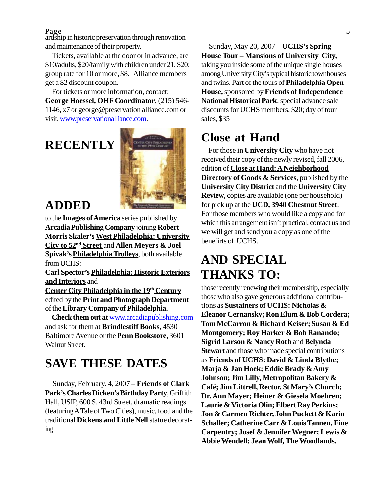$Page$  5

ardship in historic preservation through renovation and maintenance of their property.

 Tickets, available at the door or in advance, are \$10/adults, \$20/family with children under 21, \$20; group rate for 10 or more, \$8. Alliance members get a \$2 discount coupon.

 For tickets or more information, contact: **George Hoessel, OHF Coordinator**, (215) 546- 1146, x7 or george@preservation alliance.com or visit, www.preservationalliance.com.

# **RECENTLY**



#### **ADDED**

to the **Images of America** series published by **Arcadia Publishing Company** joining **Robert Morris Skaler's West Philadelphia: University City to 52nd Street** and **Allen Meyers & Joel Spivak's Philadelphia Trolleys**, both available from UCHS:

**Carl Spector's Philadelphia: Historic Exteriors and Interiors** and

**Center City Philadelphia in the 19th Century** edited by the **Print and Photograph Department** of the **Library Company of Philadelphia.**

 **Check them out at** www.arcadiapublishing.com and ask for them at **Brindlestiff Books**, 4530 Baltimore Avenue or the **Penn Bookstore**, 3601 Walnut Street.

### **SAVE THESE DATES**

 Sunday, February. 4, 2007 – **Friends of Clark Park's Charles Dicken's Birthday Party**, Griffith Hall, USIP, 600 S. 43rd Street, dramatic readings (featuring ATale of Two Cities), music, food and the traditional **Dickens and Little Nell** statue decorating

 Sunday, May 20, 2007 – **UCHS's Spring House Tour – Mansions of University City,** taking you inside some of the unique single houses among University City's typical historic townhouses and twins. Part of the tours of **Philadelphia Open House,** sponsored by **Friends of Independence National Historical Park**; special advance sale discounts for UCHS members, \$20; day of tour sales, \$35

#### **Close at Hand**

For those in **University City** who have not received their copy of the newly revised, fall 2006, edition of **Close at Hand: A Neighborhood Directory of Goods & Services**, published by the **University City District** and the **University City Review**, copies are available (one per household) for pick up at the **UCD, 3940 Chestnut Street**. For those members who would like a copy and for which this arrangement isn't practical, contact us and we will get and send you a copy as one of the benefirts of UCHS.

## **AND SPECIAL THANKS TO:**

those recently renewing their membership, especially those who also gave generous additional contributions as **Sustainers of UCHS: Nicholas & Eleanor Cernansky; Ron Elum & Bob Cordera; Tom McCarron & Richard Keiser; Susan & Ed Montgomery; Roy Harker & Bob Ranando; Sigrid Larson & Nancy Roth** and **Belynda Stewart** and those who made special contributions as **Friends of UCHS: David & Linda Blythe; Marja & Jan Hoek; Eddie Brady & Amy Johnson; Jim Lilly, Metropolitan Bakery & Café; Jim Littrell, Rector, St Mary's Church; Dr. Ann Mayer; Heiner & Giesela Moehren; Laurie & Victoria Olin; Elbert Ray Perkins; Jon & Carmen Richter, John Puckett & Karin Schaller; Catherine Carr & Louis Tannen, Fine Carpentry; Josef & Jennifer Wegner; Lewis & Abbie Wendell; Jean Wolf, The Woodlands.**